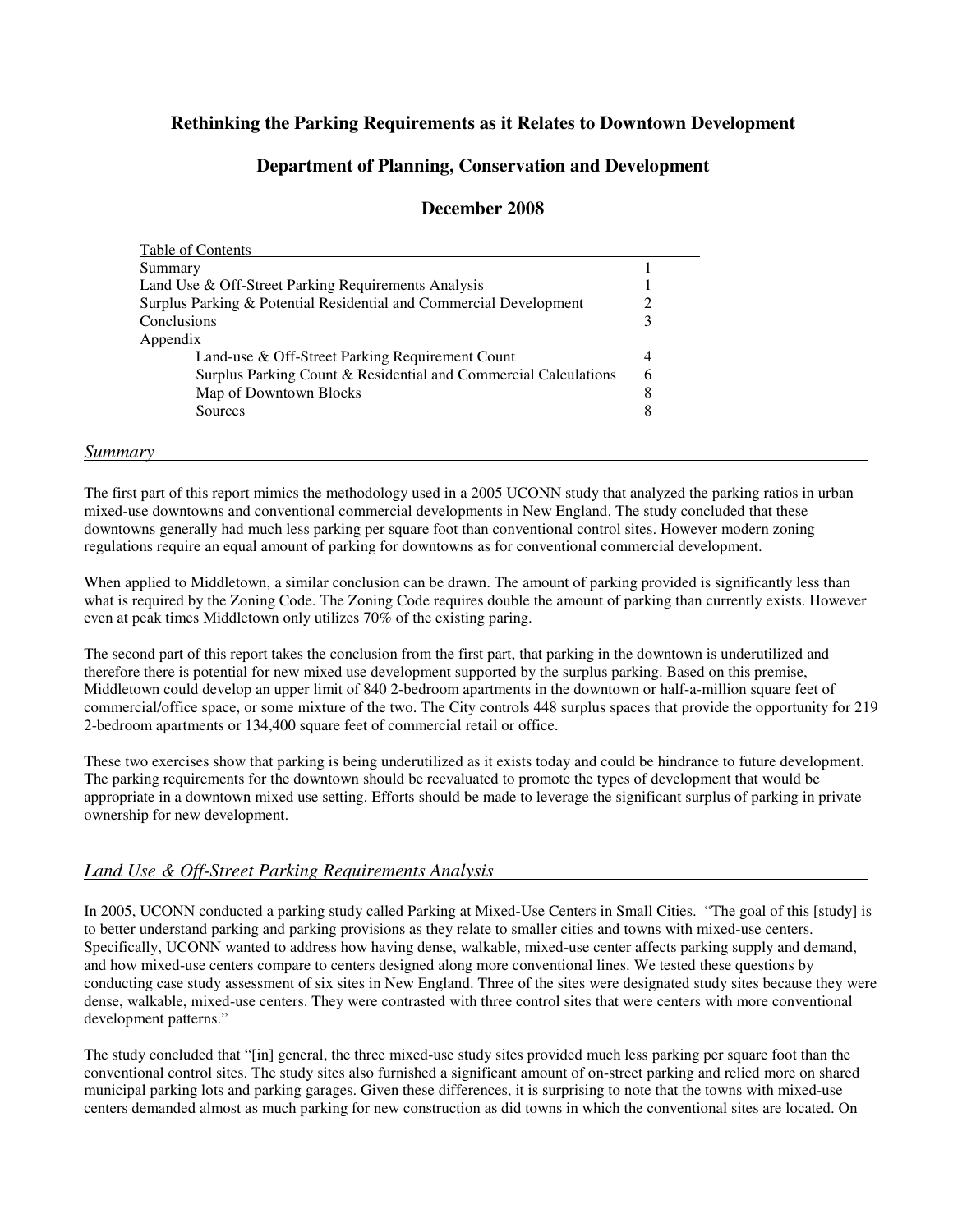# **Rethinking the Parking Requirements as it Relates to Downtown Development**

# **Department of Planning, Conservation and Development**

### **December 2008**

| Summary                                                            |   |
|--------------------------------------------------------------------|---|
| Land Use & Off-Street Parking Requirements Analysis                |   |
| Surplus Parking & Potential Residential and Commercial Development |   |
| Conclusions                                                        |   |
| Appendix                                                           |   |
| Land-use & Off-Street Parking Requirement Count                    | 4 |
| Surplus Parking Count & Residential and Commercial Calculations    | 6 |
| Map of Downtown Blocks                                             | 8 |
| Sources                                                            | 8 |

#### *Summary*

The first part of this report mimics the methodology used in a 2005 UCONN study that analyzed the parking ratios in urban mixed-use downtowns and conventional commercial developments in New England. The study concluded that these downtowns generally had much less parking per square foot than conventional control sites. However modern zoning regulations require an equal amount of parking for downtowns as for conventional commercial development.

When applied to Middletown, a similar conclusion can be drawn. The amount of parking provided is significantly less than what is required by the Zoning Code. The Zoning Code requires double the amount of parking than currently exists. However even at peak times Middletown only utilizes 70% of the existing paring.

The second part of this report takes the conclusion from the first part, that parking in the downtown is underutilized and therefore there is potential for new mixed use development supported by the surplus parking. Based on this premise, Middletown could develop an upper limit of 840 2-bedroom apartments in the downtown or half-a-million square feet of commercial/office space, or some mixture of the two. The City controls 448 surplus spaces that provide the opportunity for 219 2-bedroom apartments or 134,400 square feet of commercial retail or office.

These two exercises show that parking is being underutilized as it exists today and could be hindrance to future development. The parking requirements for the downtown should be reevaluated to promote the types of development that would be appropriate in a downtown mixed use setting. Efforts should be made to leverage the significant surplus of parking in private ownership for new development.

### *Land Use & Off-Street Parking Requirements Analysis*

In 2005, UCONN conducted a parking study called Parking at Mixed-Use Centers in Small Cities. "The goal of this [study] is to better understand parking and parking provisions as they relate to smaller cities and towns with mixed-use centers. Specifically, UCONN wanted to address how having dense, walkable, mixed-use center affects parking supply and demand, and how mixed-use centers compare to centers designed along more conventional lines. We tested these questions by conducting case study assessment of six sites in New England. Three of the sites were designated study sites because they were dense, walkable, mixed-use centers. They were contrasted with three control sites that were centers with more conventional development patterns."

The study concluded that "[in] general, the three mixed-use study sites provided much less parking per square foot than the conventional control sites. The study sites also furnished a significant amount of on-street parking and relied more on shared municipal parking lots and parking garages. Given these differences, it is surprising to note that the towns with mixed-use centers demanded almost as much parking for new construction as did towns in which the conventional sites are located. On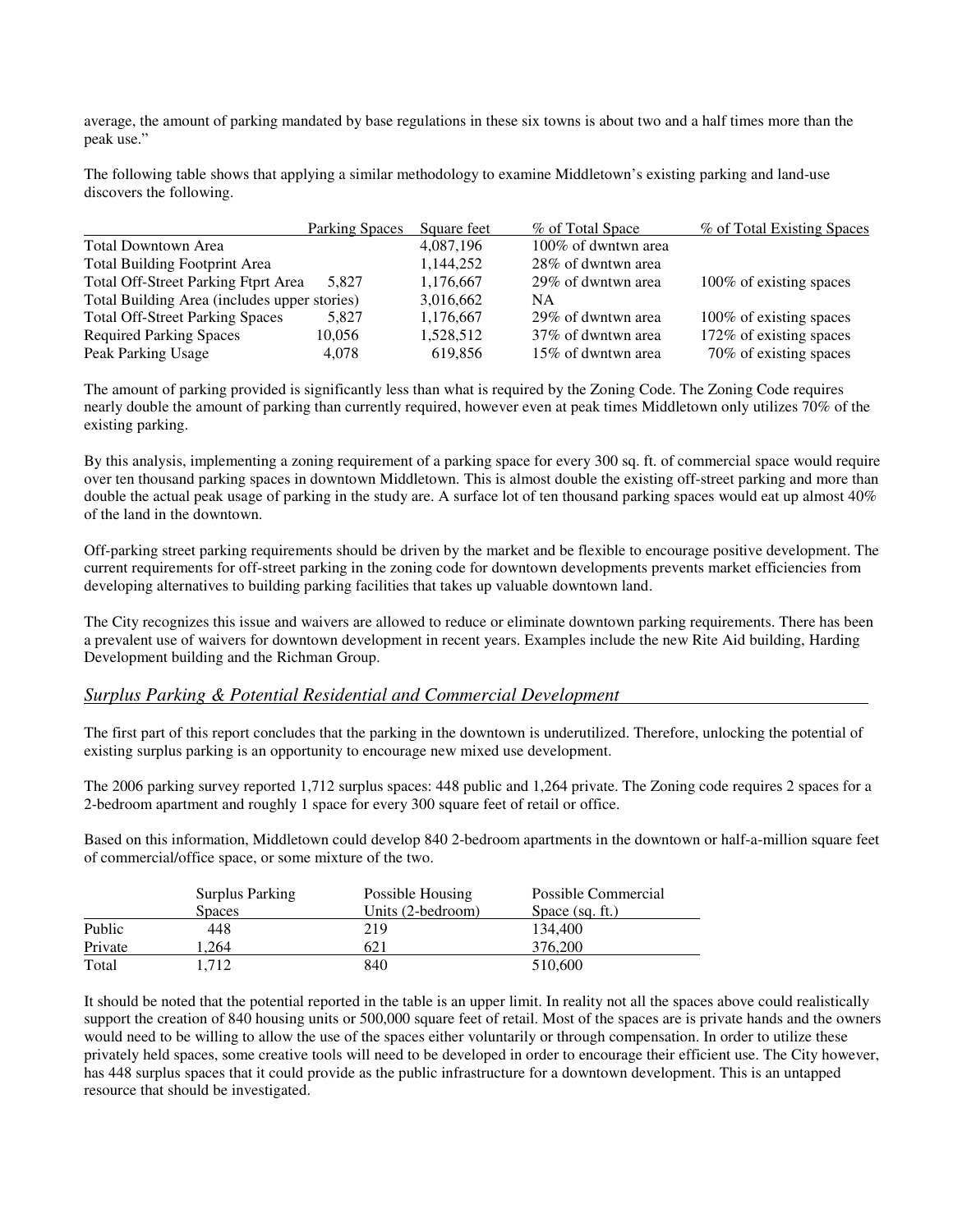average, the amount of parking mandated by base regulations in these six towns is about two and a half times more than the peak use."

The following table shows that applying a similar methodology to examine Middletown's existing parking and land-use discovers the following.

|                                              | Parking Spaces | Square feet | % of Total Space    | % of Total Existing Spaces |
|----------------------------------------------|----------------|-------------|---------------------|----------------------------|
| Total Downtown Area                          |                | 4.087.196   | 100% of dwntwn area |                            |
| <b>Total Building Footprint Area</b>         |                | 1,144,252   | 28% of dwntwn area  |                            |
| Total Off-Street Parking Ftprt Area          | 5.827          | 1,176,667   | 29% of dwntwn area  | 100% of existing spaces    |
| Total Building Area (includes upper stories) |                | 3,016,662   | NΑ                  |                            |
| <b>Total Off-Street Parking Spaces</b>       | 5.827          | 1,176,667   | 29% of dwntwn area  | 100% of existing spaces    |
| <b>Required Parking Spaces</b>               | 10,056         | 1,528,512   | 37% of dwntwn area  | 172% of existing spaces    |
| Peak Parking Usage                           | 4,078          | 619,856     | 15% of dwntwn area  | 70% of existing spaces     |

The amount of parking provided is significantly less than what is required by the Zoning Code. The Zoning Code requires nearly double the amount of parking than currently required, however even at peak times Middletown only utilizes 70% of the existing parking.

By this analysis, implementing a zoning requirement of a parking space for every 300 sq. ft. of commercial space would require over ten thousand parking spaces in downtown Middletown. This is almost double the existing off-street parking and more than double the actual peak usage of parking in the study are. A surface lot of ten thousand parking spaces would eat up almost 40% of the land in the downtown.

Off-parking street parking requirements should be driven by the market and be flexible to encourage positive development. The current requirements for off-street parking in the zoning code for downtown developments prevents market efficiencies from developing alternatives to building parking facilities that takes up valuable downtown land.

The City recognizes this issue and waivers are allowed to reduce or eliminate downtown parking requirements. There has been a prevalent use of waivers for downtown development in recent years. Examples include the new Rite Aid building, Harding Development building and the Richman Group.

### *Surplus Parking & Potential Residential and Commercial Development*

The first part of this report concludes that the parking in the downtown is underutilized. Therefore, unlocking the potential of existing surplus parking is an opportunity to encourage new mixed use development.

The 2006 parking survey reported 1,712 surplus spaces: 448 public and 1,264 private. The Zoning code requires 2 spaces for a 2-bedroom apartment and roughly 1 space for every 300 square feet of retail or office.

Based on this information, Middletown could develop 840 2-bedroom apartments in the downtown or half-a-million square feet of commercial/office space, or some mixture of the two.

|         | <b>Surplus Parking</b> | Possible Housing  | Possible Commercial |
|---------|------------------------|-------------------|---------------------|
|         | <b>Spaces</b>          | Units (2-bedroom) | Space $(sq, ft.)$   |
| Public  | 448                    | 219               | 134,400             |
| Private | .264                   | 621               | 376.200             |
| Total   | l.712                  | 840               | 510,600             |

It should be noted that the potential reported in the table is an upper limit. In reality not all the spaces above could realistically support the creation of 840 housing units or 500,000 square feet of retail. Most of the spaces are is private hands and the owners would need to be willing to allow the use of the spaces either voluntarily or through compensation. In order to utilize these privately held spaces, some creative tools will need to be developed in order to encourage their efficient use. The City however, has 448 surplus spaces that it could provide as the public infrastructure for a downtown development. This is an untapped resource that should be investigated.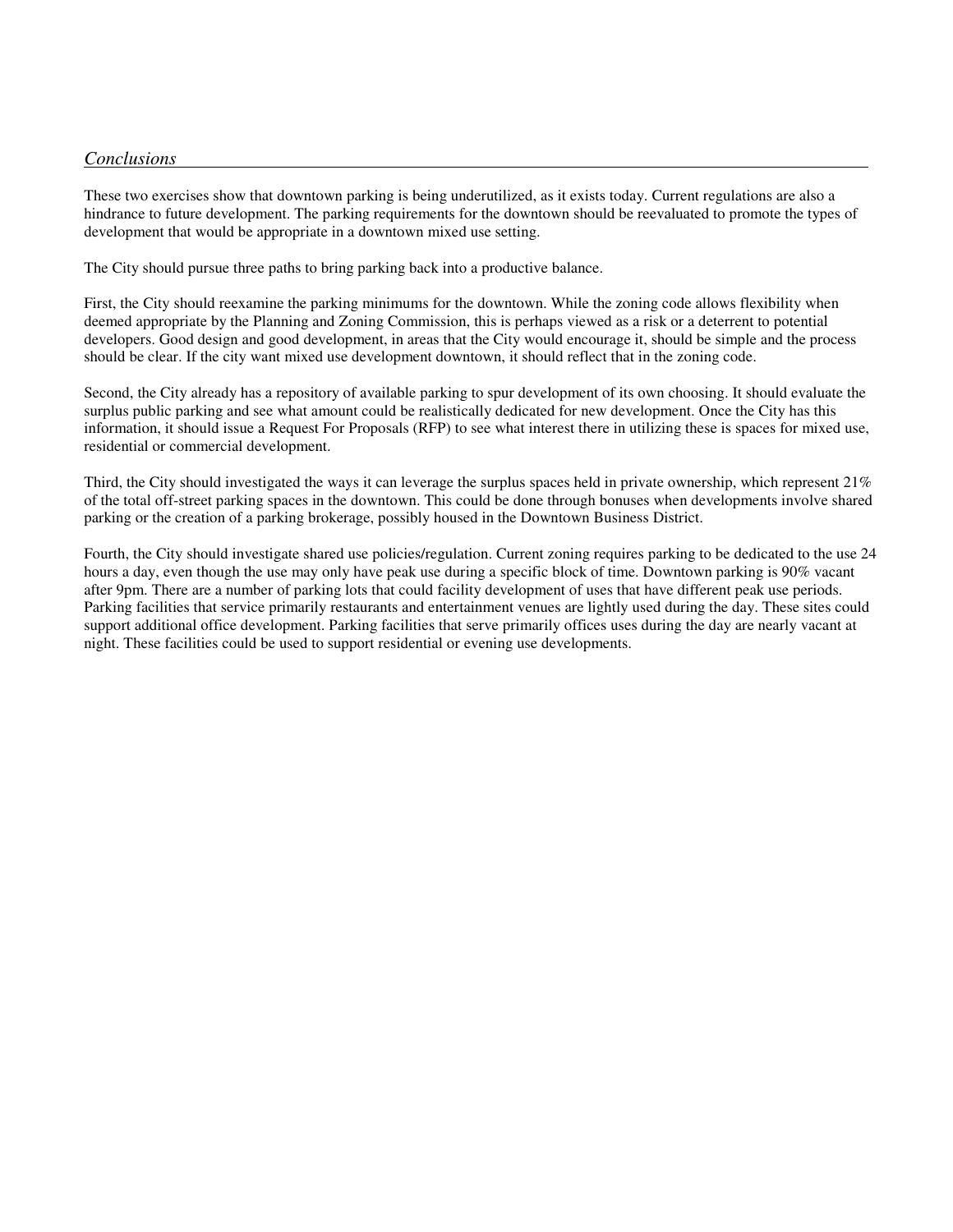#### *Conclusions*

These two exercises show that downtown parking is being underutilized, as it exists today. Current regulations are also a hindrance to future development. The parking requirements for the downtown should be reevaluated to promote the types of development that would be appropriate in a downtown mixed use setting.

The City should pursue three paths to bring parking back into a productive balance.

First, the City should reexamine the parking minimums for the downtown. While the zoning code allows flexibility when deemed appropriate by the Planning and Zoning Commission, this is perhaps viewed as a risk or a deterrent to potential developers. Good design and good development, in areas that the City would encourage it, should be simple and the process should be clear. If the city want mixed use development downtown, it should reflect that in the zoning code.

Second, the City already has a repository of available parking to spur development of its own choosing. It should evaluate the surplus public parking and see what amount could be realistically dedicated for new development. Once the City has this information, it should issue a Request For Proposals (RFP) to see what interest there in utilizing these is spaces for mixed use, residential or commercial development.

Third, the City should investigated the ways it can leverage the surplus spaces held in private ownership, which represent 21% of the total off-street parking spaces in the downtown. This could be done through bonuses when developments involve shared parking or the creation of a parking brokerage, possibly housed in the Downtown Business District.

Fourth, the City should investigate shared use policies/regulation. Current zoning requires parking to be dedicated to the use 24 hours a day, even though the use may only have peak use during a specific block of time. Downtown parking is 90% vacant after 9pm. There are a number of parking lots that could facility development of uses that have different peak use periods. Parking facilities that service primarily restaurants and entertainment venues are lightly used during the day. These sites could support additional office development. Parking facilities that serve primarily offices uses during the day are nearly vacant at night. These facilities could be used to support residential or evening use developments.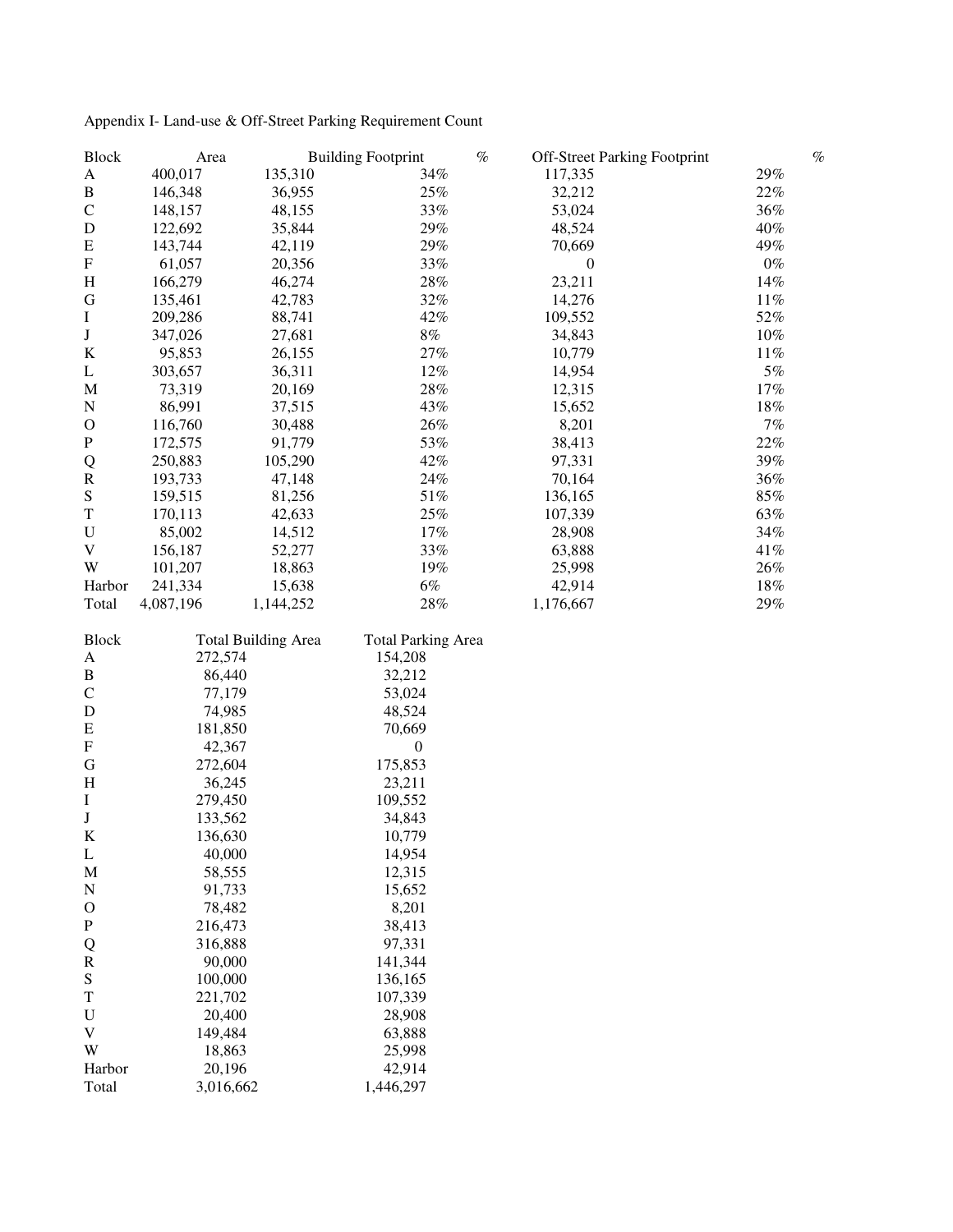| <b>Block</b> | Area      |                            | <b>Building Footprint</b> | $\%$ | <b>Off-Street Parking Footprint</b> | $\%$   |
|--------------|-----------|----------------------------|---------------------------|------|-------------------------------------|--------|
| A            | 400,017   | 135,310                    | 34%                       |      | 117,335                             | 29%    |
| $\, {\bf B}$ | 146,348   | 36,955                     | 25%                       |      | 32,212                              | $22\%$ |
| $\mathsf C$  | 148,157   | 48,155                     | 33%                       |      | 53,024                              | 36%    |
| D            | 122,692   | 35,844                     | 29%                       |      | 48,524                              | 40%    |
| ${\bf E}$    | 143,744   | 42,119                     | 29%                       |      | 70,669                              | 49%    |
| ${\bf F}$    | 61,057    | 20,356                     | 33%                       |      | $\boldsymbol{0}$                    | $0\%$  |
| $H_{\rm}$    | 166,279   | 46,274                     | $28\%$                    |      | 23,211                              | 14%    |
| G            | 135,461   | 42,783                     | 32%                       |      | 14,276                              | $11\%$ |
| I            | 209,286   | 88,741                     | 42%                       |      | 109,552                             | $52\%$ |
| $\bf J$      | 347,026   | 27,681                     | $8\%$                     |      | 34,843                              | $10\%$ |
| $\bf K$      | 95,853    | 26,155                     | 27%                       |      | 10,779                              | $11\%$ |
| L            | 303,657   | 36,311                     | $12\%$                    |      | 14,954                              | $5\%$  |
| M            | 73,319    | 20,169                     | 28%                       |      | 12,315                              | $17\%$ |
| ${\bf N}$    | 86,991    | 37,515                     | 43%                       |      | 15,652                              | $18\%$ |
| $\mathbf O$  | 116,760   | 30,488                     | 26%                       |      | 8,201                               | $7\%$  |
| ${\bf P}$    |           |                            | 53%                       |      |                                     | $22\%$ |
|              | 172,575   | 91,779                     |                           |      | 38,413                              |        |
| Q            | 250,883   | 105,290                    | 42%                       |      | 97,331                              | 39%    |
| $\mathbf R$  | 193,733   | 47,148                     | 24%                       |      | 70,164                              | 36%    |
| ${\bf S}$    | 159,515   | 81,256                     | 51%                       |      | 136,165                             | $85\%$ |
| $\mathbf T$  | 170,113   | 42,633                     | $25\%$                    |      | 107,339                             | 63%    |
| ${\bf U}$    | 85,002    | 14,512                     | 17%                       |      | 28,908                              | 34%    |
| $\mathbf V$  | 156,187   | 52,277                     | 33%                       |      | 63,888                              | $41\%$ |
| W            | 101,207   | 18,863                     | 19%                       |      | 25,998                              | $26\%$ |
| Harbor       | 241,334   | 15,638                     | $6\%$                     |      | 42,914                              | $18\%$ |
| Total        | 4,087,196 | 1,144,252                  | $28\%$                    |      | 1,176,667                           | 29%    |
| <b>Block</b> |           | <b>Total Building Area</b> | <b>Total Parking Area</b> |      |                                     |        |
| A            | 272,574   |                            | 154,208                   |      |                                     |        |
| $\, {\bf B}$ | 86,440    |                            | 32,212                    |      |                                     |        |
| $\mathsf C$  | 77,179    |                            | 53,024                    |      |                                     |        |
| $\mathbf D$  | 74,985    |                            | 48,524                    |      |                                     |        |
| ${\bf E}$    | 181,850   |                            | 70,669                    |      |                                     |        |
| ${\bf F}$    | 42,367    |                            | $\boldsymbol{0}$          |      |                                     |        |
| ${\bf G}$    | 272,604   |                            | 175,853                   |      |                                     |        |
| $H_{\rm}$    | 36,245    |                            | 23,211                    |      |                                     |        |
| I            | 279,450   |                            | 109,552                   |      |                                     |        |
| $\bf J$      | 133,562   |                            | 34,843                    |      |                                     |        |
| K            | 136,630   |                            | 10,779                    |      |                                     |        |
| L            | 40,000    |                            | 14,954                    |      |                                     |        |
| M            | 58,555    |                            | 12,315                    |      |                                     |        |
| N            | 91,733    |                            | 15,652                    |      |                                     |        |
| $\mathbf O$  | 78,482    |                            | 8,201                     |      |                                     |        |
| ${\bf P}$    | 216,473   |                            | 38,413                    |      |                                     |        |
| Q            | 316,888   |                            | 97,331                    |      |                                     |        |
| $\mathbf R$  | 90,000    |                            | 141,344                   |      |                                     |        |
| ${\bf S}$    | 100,000   |                            | 136,165                   |      |                                     |        |
| $\mathbf T$  | 221,702   |                            | 107,339                   |      |                                     |        |
| $\mathbf U$  | 20,400    |                            | 28,908                    |      |                                     |        |
| V            | 149,484   |                            | 63,888                    |      |                                     |        |
| W            | 18,863    |                            | 25,998                    |      |                                     |        |
| Harbor       | 20,196    |                            | 42,914                    |      |                                     |        |
| Total        | 3,016,662 |                            | 1,446,297                 |      |                                     |        |
|              |           |                            |                           |      |                                     |        |

# Appendix I- Land-use & Off-Street Parking Requirement Count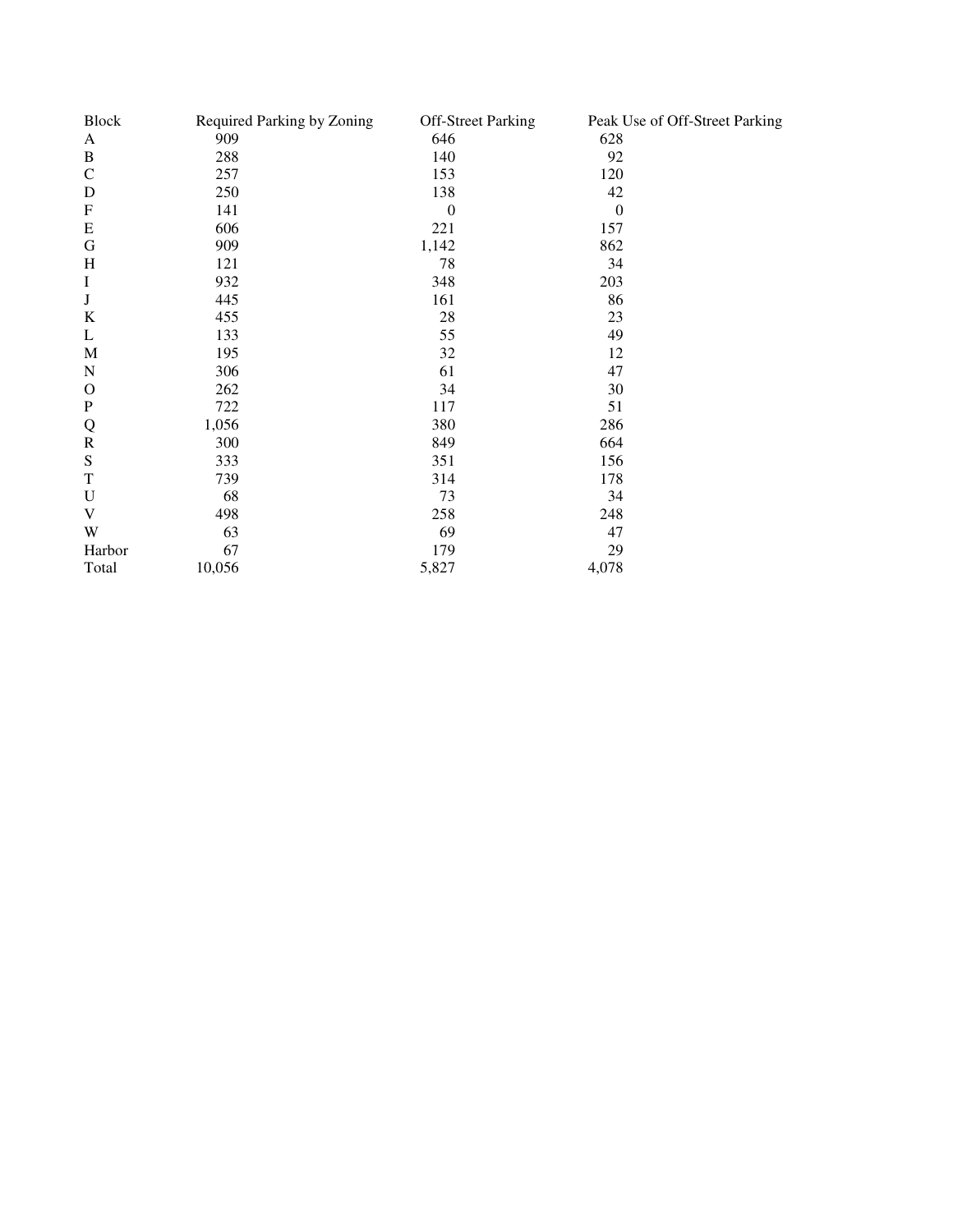| <b>Block</b> | Required Parking by Zoning | <b>Off-Street Parking</b> | Peak Use of Off-Street Parking |
|--------------|----------------------------|---------------------------|--------------------------------|
| A            | 909                        | 646                       | 628                            |
| $\, {\bf B}$ | 288                        | 140                       | 92                             |
| $\mathbf C$  | 257                        | 153                       | 120                            |
| D            | 250                        | 138                       | 42                             |
| ${\bf F}$    | 141                        | $\boldsymbol{0}$          | $\boldsymbol{0}$               |
| ${\bf E}$    | 606                        | 221                       | 157                            |
| G            | 909                        | 1,142                     | 862                            |
| H            | 121                        | 78                        | 34                             |
| I            | 932                        | 348                       | 203                            |
| $\bf J$      | 445                        | 161                       | 86                             |
| $\bf K$      | 455                        | 28                        | 23                             |
| L            | 133                        | 55                        | 49                             |
| $\mathbf M$  | 195                        | 32                        | 12                             |
| ${\bf N}$    | 306                        | 61                        | 47                             |
| $\mathbf{O}$ | 262                        | 34                        | 30                             |
| ${\bf P}$    | 722                        | 117                       | 51                             |
| Q            | 1,056                      | 380                       | 286                            |
| ${\bf R}$    | 300                        | 849                       | 664                            |
| ${\bf S}$    | 333                        | 351                       | 156                            |
| T            | 739                        | 314                       | 178                            |
| U            | 68                         | 73                        | 34                             |
| V            | 498                        | 258                       | 248                            |
| W            | 63                         | 69                        | 47                             |
| Harbor       | 67                         | 179                       | 29                             |
| Total        | 10,056                     | 5,827                     | 4,078                          |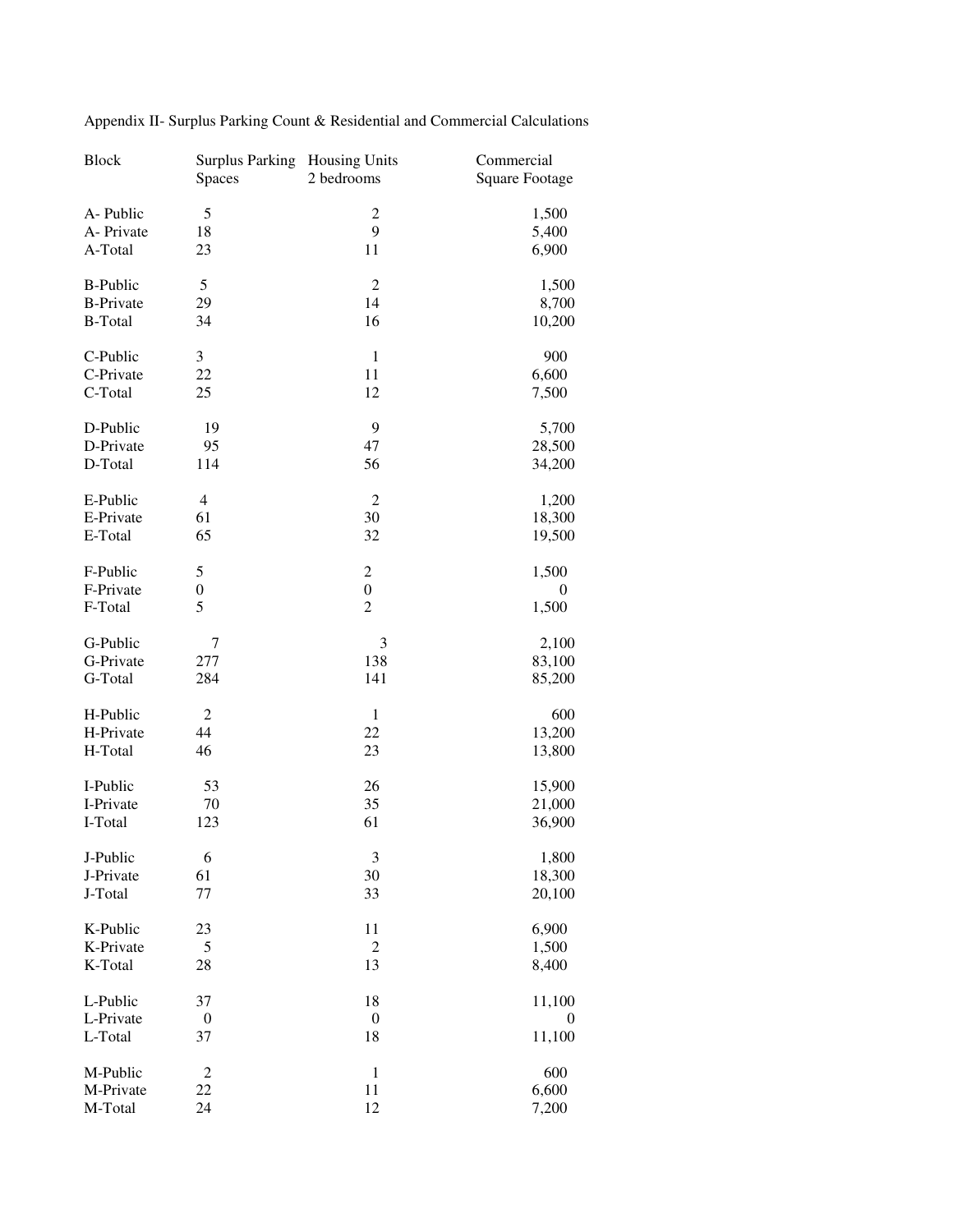| <b>Block</b>     | <b>Surplus Parking</b><br><b>Spaces</b> | <b>Housing Units</b><br>2 bedrooms | Commercial<br><b>Square Footage</b> |
|------------------|-----------------------------------------|------------------------------------|-------------------------------------|
| A-Public         | 5                                       | $\overline{c}$                     | 1,500                               |
| A-Private        | 18                                      | 9                                  | 5,400                               |
| A-Total          | 23                                      | 11                                 | 6,900                               |
|                  |                                         |                                    |                                     |
| <b>B-Public</b>  | 5                                       | $\mathfrak{2}$                     | 1,500                               |
| <b>B-Private</b> | 29                                      | 14                                 | 8,700                               |
| <b>B-Total</b>   | 34                                      | 16                                 | 10,200                              |
| C-Public         | 3                                       | $\mathbf{1}$                       | 900                                 |
| C-Private        | 22                                      | 11                                 | 6,600                               |
| C-Total          | 25                                      | 12                                 | 7,500                               |
| D-Public         | 19                                      | 9                                  | 5,700                               |
| D-Private        | 95                                      | 47                                 | 28,500                              |
| D-Total          | 114                                     | 56                                 | 34,200                              |
|                  |                                         |                                    |                                     |
| E-Public         | 4                                       | $\overline{2}$                     | 1,200                               |
| E-Private        | 61                                      | 30                                 | 18,300                              |
| E-Total          | 65                                      | 32                                 | 19,500                              |
| F-Public         | 5                                       | $\overline{c}$                     | 1,500                               |
| F-Private        | $\boldsymbol{0}$                        | $\boldsymbol{0}$                   | 0                                   |
| F-Total          | 5                                       | $\overline{2}$                     | 1,500                               |
| G-Public         | 7                                       | 3                                  | 2,100                               |
| G-Private        | 277                                     | 138                                | 83,100                              |
| G-Total          | 284                                     | 141                                | 85,200                              |
| H-Public         | $\overline{c}$                          | $\mathbf{1}$                       | 600                                 |
| H-Private        | 44                                      | 22                                 | 13,200                              |
| H-Total          | 46                                      | 23                                 | 13,800                              |
|                  |                                         |                                    |                                     |
| I-Public         | 53                                      | 26                                 | 15,900                              |
| I-Private        | 70                                      | 35                                 | 21,000                              |
| I-Total          | 123                                     | 61                                 | 36,900                              |
| J-Public         | 6                                       | $\mathfrak{Z}$                     | 1,800                               |
| J-Private        | 61                                      | 30                                 | 18,300                              |
| J-Total          | 77                                      | 33                                 | 20,100                              |
| K-Public         | 23                                      | 11                                 | 6,900                               |
| K-Private        | 5                                       | $\overline{c}$                     | 1,500                               |
| K-Total          | 28                                      | 13                                 | 8,400                               |
| L-Public         | 37                                      | 18                                 | 11,100                              |
| L-Private        | $\boldsymbol{0}$                        | $\boldsymbol{0}$                   | $\bf{0}$                            |
| L-Total          | 37                                      | 18                                 | 11,100                              |
|                  |                                         |                                    |                                     |
| M-Public         | $\overline{c}$                          | $\mathbf{1}$                       | 600                                 |
| M-Private        | 22                                      | 11                                 | 6,600                               |
| M-Total          | 24                                      | 12                                 | 7,200                               |

Appendix II- Surplus Parking Count & Residential and Commercial Calculations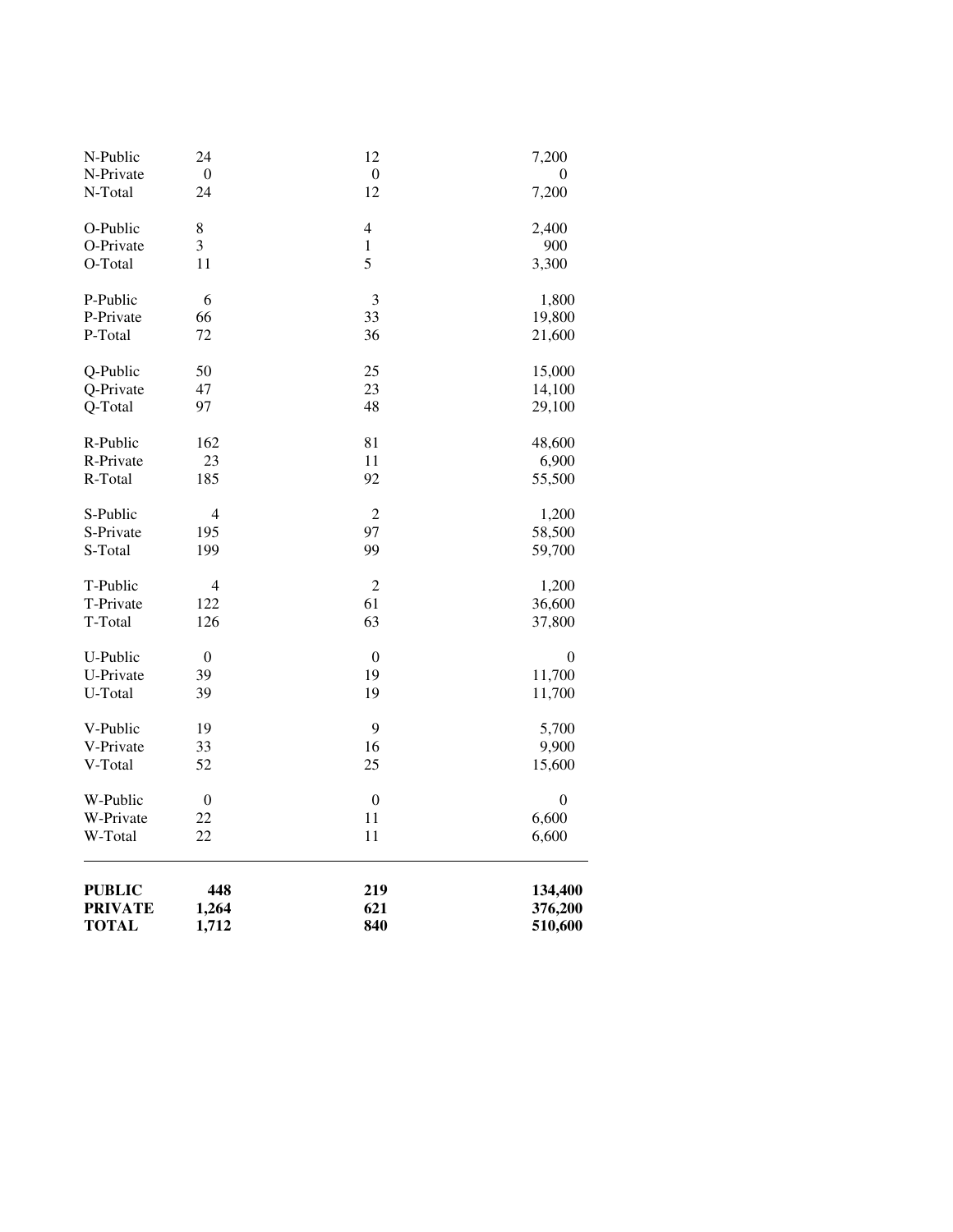| <b>PUBLIC</b><br><b>PRIVATE</b><br><b>TOTAL</b> | 448<br>1,264<br>1,712 | 219<br>621<br>840 | 134,400<br>376,200<br>510,600 |
|-------------------------------------------------|-----------------------|-------------------|-------------------------------|
| W-Total                                         | 22                    | 11                | 6,600                         |
| W-Private                                       | 22                    | 11                | 6,600                         |
| W-Public                                        | $\boldsymbol{0}$      | $\boldsymbol{0}$  | 0                             |
| V-Total                                         | 52                    | 25                | 15,600                        |
| V-Private                                       | 33                    | 16                | 9,900                         |
| V-Public                                        | 19                    | 9                 | 5,700                         |
| U-Total                                         | 39                    | 19                | 11,700                        |
| U-Private                                       | 39                    | 19                | 11,700                        |
| U-Public                                        | $\boldsymbol{0}$      | $\boldsymbol{0}$  | 0                             |
| T-Total                                         | 126                   | 63                | 37,800                        |
| T-Private                                       | 122                   | 61                | 36,600                        |
| T-Public                                        | 4                     | $\overline{2}$    | 1,200                         |
| S-Total                                         | 199                   | 99                | 59,700                        |
| S-Private                                       | 195                   | 97                | 58,500                        |
| S-Public                                        | 4                     | $\overline{2}$    | 1,200                         |
| R-Total                                         | 185                   | 92                | 55,500                        |
| R-Private                                       | 23                    | 11                | 6,900                         |
| R-Public                                        | 162                   | 81                | 48,600                        |
| Q-Total                                         | 97                    | 48                | 29,100                        |
| Q-Private                                       | 47                    | 23                | 14,100                        |
| Q-Public                                        | 50                    | 25                | 15,000                        |
| P-Total                                         | 72                    | 36                | 21,600                        |
| P-Private                                       | 66                    | 33                | 19,800                        |
| P-Public                                        | 6                     | 3                 | 1,800                         |
| O-Total                                         | 11                    | 5                 | 3,300                         |
| O-Private                                       | 3                     | 1                 | 900                           |
| O-Public                                        | 8                     | $\overline{4}$    | 2,400                         |
| N-Total<br>24                                   |                       | 12                | 7,200                         |
| N-Private<br>$\boldsymbol{0}$                   |                       | $\boldsymbol{0}$  | 0                             |
| N-Public                                        | 24                    | 12                | 7,200                         |